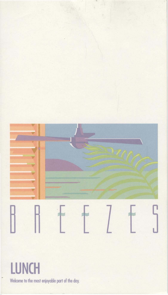

**LUNCH**  • Welcome to the most enjoyable **part** of the day.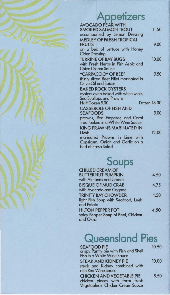# **Appetizers**

| <b>AVOCADO PEAR WITH</b>                 |       |
|------------------------------------------|-------|
| <b>SMOKED SALMON TROUT</b>               | 11.50 |
| accompanied by Lemon Dressing            |       |
| <b>MEDLEY OF FRESH TROPICAL</b>          |       |
| <b>FRUITS</b>                            | 9.00  |
| on a bed of Lettuce with Honey           |       |
| <b>Cider Dressing</b>                    |       |
| <b>TERRINE OF BAY BUGS</b>               | 10.00 |
| with Fresh Herbs in Fish Aspic and       |       |
| <b>Chive Cream Sauce</b>                 |       |
| "CARPACCIO" OF BEEF                      | 9.50  |
| thinly sliced Beef Fillet marinated in   |       |
| <b>Olive Oil and Spices</b>              |       |
| <b>BAKED ROCK OYSTERS</b>                |       |
| oysters oven baked with white wine,      |       |
| Sea Scallops and Prawns                  |       |
| <b>Dozen 18.00</b><br>Half Dozen 9.00    |       |
| <b>CASSEROLE OF FISH AND</b>             |       |
| <b>SEAFOODS</b>                          | 9.00  |
| prawns, Red Emperor, and Coral           |       |
| <b>Trout baked in a White Wine Sauce</b> |       |
| <b>KING PRAWNS MARINATED IN</b>          |       |
| LIME                                     | 12.00 |
| marinated Prawns in Lime with            |       |
| Capsicum, Onion and Garlic on a          |       |
| bed of Fresh Salad                       |       |
|                                          |       |

**Soups** 

| <b>CHILLED CREAM OF</b>            |      |
|------------------------------------|------|
| <b>BUTTERNUT PUMPKIN</b>           | 4.50 |
| with Almonds and Cream             |      |
| <b>BISQUE OF MUD CRAB</b>          | 4.75 |
| with Avocado and Cognac            |      |
| <b>TRINITY BAY CHOWDER</b>         | 4.50 |
| light Fish Soup with Seafood, Leek |      |
| and Potato                         |      |
| <b>HILTON PEPPER POT</b>           | 4.50 |
| spicy Pepper Soup of Beef, Chicken |      |
| and Okra                           |      |

# **Queensland Pies**

| <b>SEAFOOD PIE</b><br>crispy Pastry pie with Fish and Shell<br>Fish in a White Wine Sauce               | 10.50 |
|---------------------------------------------------------------------------------------------------------|-------|
| <b>STEAK AND KIDNEY PIE</b><br>steak and Kidney combined with<br>rich Red Wine Sauce                    | 10.00 |
| <b>CHICKEN AND VEGETABLE PIE</b><br>chicken pieces with farm fresh<br>Vegetables in Chicken Cream Sauce | 9.50  |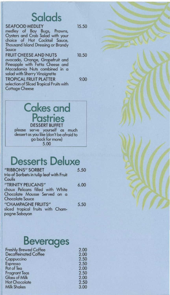### **Salads**

#### SEAFOOD MEDLEY 15.50 medley of Boy Bugs, Prowns, Oysters and Crab Salad with your choice of Hot Cocktail Sauce, Thousand Island Dressing or Brandy Sauce FRUIT CHEESE AND NUTS 10.50 avocado, Orange, Grapefruit and Pineapple with Fetta Cheese and Macadamia Nuts combined in a salad with Sherry Vinaigrette TROPICAL FRUIT PLATTER 9.00 selection of Sliced Tropical Fruits with Cottage Cheese

#### Cakes and **Pastries**  DESSERT BUFFET

please serve yourself as much dessert as you like (don't be afraid to go back for more)<br>5.00

## **Desserts Deluxe**

| "RIBBONS" SORBET                                       | 5.50 |
|--------------------------------------------------------|------|
| trio of Sorbets in tulip leaf with Fruit<br>Coulis     |      |
|                                                        |      |
| "TRINITY PELICANS"<br>choux Pelicans filled with White | 6.00 |
| Chocolate Mousse Served on a<br><b>Chocolate Sauce</b> |      |
| "CHAMPAGNE FRUITS"                                     | 5.50 |
| sliced tropical fruits with Cham-<br>pagne Sabayon     |      |
|                                                        |      |

### **Beverages**

| <b>Freshly Brewed Coffee</b> | 2.00 |
|------------------------------|------|
| <b>Decaffeinated Coffee</b>  | 2.00 |
| Cappuccino                   | 2.50 |
| Espresso                     | 2.50 |
| Pot of Tea                   | 2.00 |
| <b>Fragrant Teas</b>         | 2.50 |
| <b>Glass of Milk</b>         | 2.00 |
| <b>Hot Chocolate</b>         | 2.50 |
| <b>Milk Shakes</b>           | 3.00 |
|                              |      |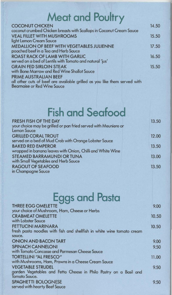# **Meat and Poultry**

| <b>COCONUT CHICKEN</b>                                                    | 14.50 |
|---------------------------------------------------------------------------|-------|
| coconut crumbed Chicken breasts with Scallops in Coconut Cream Sauce      |       |
| <b>VEAL FILLET WITH MUSHROOMS</b>                                         | 15.50 |
| light Lemon Cream Sauce                                                   |       |
| <b>MEDALLION OF BEEF WITH VEGETABLES JULIENNE</b>                         | 17.50 |
| poached beef in a Tea and Herb Sauce                                      |       |
| <b>ROAST RACK OF LAMB WITH GARLIC</b>                                     | 16.50 |
| served on a bed of Lentils with Tomato and natural 'jus'                  |       |
| <b>GRAIN FED SIRLOIN STEAK</b>                                            | 15.50 |
| with Bone Marrow and Red Wine Shallot Sauce                               |       |
| PRIME AUSTRALIAN BEEF                                                     |       |
| all other cuts of beef are available grilled as you like them served with |       |
| <b>Bearnaise or Red Wine Sauce</b>                                        |       |

# **Fish and Seafood**

| <b>FRESH FISH OF THE DAY</b>                                    | 13.50 |
|-----------------------------------------------------------------|-------|
| your choice may be grilled or pan fried served with Meuniere or |       |
| <b>Lemon Sauce</b>                                              |       |
| <b>GRILLED CORAL TROUT</b>                                      | 12.00 |
| served on a bed of Mud Crab with Orange Lobster Sauce           |       |
| <b>BAKED RED EMPEROR</b>                                        | 13.50 |
| wrapped in banana leaves with Onion, Chilli and White Wine      |       |
| STEAMED BARRAMUNDI OR TUNA                                      | 13.00 |
| with Small Vegetables and Herb Sauce                            |       |
| <b>RAGOUT OF SEAFOOD</b>                                        | 13.50 |
| in Champagne Sauce                                              |       |
|                                                                 |       |

# **Eggs and Pasta**

| <b>THREE EGG OMELETTE</b>                                              | 9.00  |
|------------------------------------------------------------------------|-------|
| your choice of Mushroom, Ham, Cheese or Herbs                          |       |
| <b>CRABMEAT OMELETTE</b>                                               | 10.50 |
| with Lobster Sauce                                                     |       |
| <b>FETTUCINI MARINARA</b>                                              | 10.50 |
| fresh pasta noodles with fish and shellfish in white wine tomato cream |       |
| sauce.                                                                 |       |
| <b>ONION AND BACON TART</b>                                            | 9.00  |
| <b>SPINACH CANNELONI</b>                                               | 9.50  |
| with Tomato Concasse and Parmesan Cheese Sauce                         |       |
| <b>TORTELLINI "AL FRESCO"</b>                                          | 11.00 |
| with Mushrooms, Ham, Prawns in a Cheese Cream Sauce                    |       |
| <b>VEGETABLE STRUDEL</b>                                               | 9.50  |
| garden Vegetables and Fetta Cheese in Philo Pastry on a Basil and      |       |
| <b>Tomato Sauce.</b>                                                   |       |
| <b>SPAGHETTI BOLOGNESE</b>                                             | 9.50  |
| served with hearty Beef Sauce                                          |       |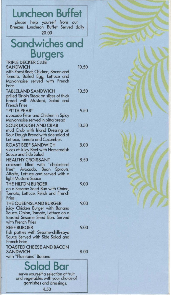| <b>Luncheon Buffet</b>                                                                                                                                           |       |  |
|------------------------------------------------------------------------------------------------------------------------------------------------------------------|-------|--|
| please help yourself from our<br>Breezes Luncheon Buffet Served daily<br>20.00                                                                                   |       |  |
| <b>Sandwiches and</b>                                                                                                                                            |       |  |
| <b>Burgers</b>                                                                                                                                                   |       |  |
| <b>TRIPLE DECKER CLUB</b><br><b>SANDWICH</b><br>with Roast Beef, Chicken, Bacon and<br>Tomato, Boiled Egg, Lettuce and<br>Mayonnaise served with French<br>Fries | 10.50 |  |
| <b>TABLELAND SANDWICH</b><br>grilled Sirloin Steak on slices of thick<br>bread with Mustard, Salad and<br><b>French Fries</b>                                    | 10.50 |  |
| "PITTA PEAR"<br>avocado Pear and Chicken in Spicy<br>Mayonnaise served in pitta bread                                                                            | 9.50  |  |
| <b>SOUR DOUGH AND CRAB</b><br>mud Crab with Island Dressing on<br>Sour Dough Bread with side salad of<br>Lettuce, Tomato and Cucumber.                           | 10.50 |  |
| <b>ROAST BEEF SANDWICH</b><br>slices of Juicy Beef with Horseradish<br><b>Sauce and Side Salad</b>                                                               | 8.00  |  |
| <b>HEALTHY CROISSANT</b><br>croissant filled with "cholesterol<br>free" Avocado, Bean Sprouts,<br>Alfalfa, Lettuce and served with a<br>light Mustard Sauce      | 8.50  |  |
| THE HILTON BURGER<br>on a Sesame Seed Bun with Onion,<br>Tomato, Lettuce, Relish and French<br>Fries                                                             | 9.00  |  |
| THE QUEENSLAND BURGER<br>juicy Chicken Burger with Banana<br>Sauce, Onion, Tomato, Lettuce on a<br>toasted Sesame Seed Bun. Served<br>with French Fries          | 9.00  |  |
| <b>REEF BURGER</b><br>fish patties with Sesame-chilli-soya<br>Sauce Served with Side Salad and<br><b>French Fries</b>                                            | 9.00  |  |
| <b>TOASTED CHEESE AND BACON</b><br><b>SANDWICH</b><br>with "Plaintains" Banana                                                                                   | 8.00  |  |
| <b>Salad Bar</b>                                                                                                                                                 |       |  |
| serve yourself a selection of fruit<br>and vegetables with your choice of<br>garnishes and dressings.                                                            |       |  |